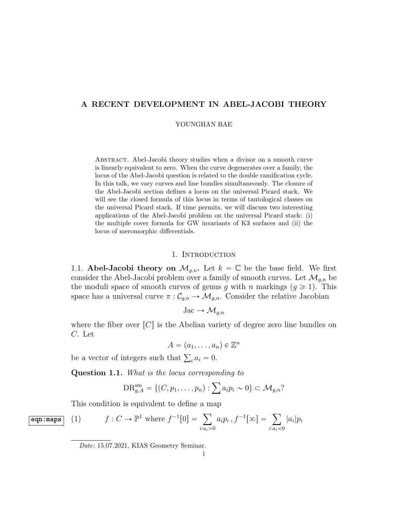# A RECENT DEVELOPMENT IN ABEL-JACOBI THEORY

### YOUNGHAN BAE

Abstract. Abel-Jacobi theory studies when a divisor on a smooth curve is linearly equivalent to zero. When the curve degenerates over a family, the locus of the Abel-Jacobi question is related to the double ramification cycle. In this talk, we vary curves and line bundles simultaneously. The closure of the Abel-Jacobi section defines a locus on the universal Picard stack. We will see the closed formula of this locus in terms of tautological classes on the universal Picard stack. If time permits, we will discuss two interesting applications of the Abel-Jacobi problem on the universal Picard stack: (i) the multiple cover formula for GW invariants of K3 surfaces and (ii) the locus of meromorphic differentials.

### 1. Introduction

1.1. **Abel-Jacobi theory on**  $\mathcal{M}_{g,n}$ . Let  $k = \mathbb{C}$  be the base field. We first consider the Abel-Jacobi problem over a family of smooth curves. Let  $\mathcal{M}_{q,n}$  be the moduli space of smooth curves of genus g with n markings  $(g \ge 1)$ . This space has a universal curve  $\pi : \mathcal{C}_{g,n} \to \mathcal{M}_{g,n}$ . Consider the relative Jacobian

Jac 
$$
\rightarrow
$$
 M<sub>g,n</sub>

where the fiber over  $[C]$  is the Abelian variety of degree zero line bundles on C. Let

$$
A = (a_1, \ldots, a_n) \in \mathbb{Z}^n
$$

be a vector of integers such that  $\sum_i a_i = 0$ .

Question 1.1. What is the locus corresponding to  $\ddot{\ }$ 

<span id="page-0-0"></span>
$$
\text{DR}_{g,A}^{\text{sm}} = \{ (C, p_1, \dots, p_n) : \sum a_i p_i \sim 0 \} \subset \mathcal{M}_{g,n}?
$$

This condition is equivalent to define a map

$$
\boxed{\text{eqn:maps}} \quad (1) \qquad f: C \to \mathbb{P}^1 \text{ where } f^{-1}[0] = \sum_{i:a_i>0} a_i p_i, f^{-1}[\infty] = \sum_{i:a_i<0} |a_i| p_i
$$

Date: 15.07.2021, KIAS Geometry Seminar.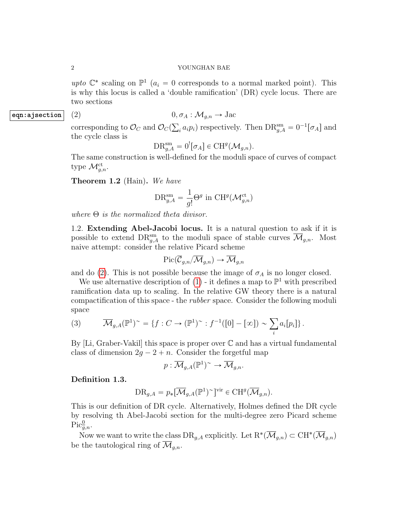### 2 YOUNGHAN BAE

upto  $\mathbb{C}^*$  scaling on  $\mathbb{P}^1$  ( $a_i = 0$  corresponds to a normal marked point). This is why this locus is called a 'double ramification' (DR) cycle locus. There are two sections

### eqn:ajsection  $(2)$

<span id="page-1-0"></span>
$$
0, \sigma_A : \mathcal{M}_{g,n} \to \text{Jac}
$$

corresponding to  $\mathcal{O}_C$  and  $\mathcal{O}_C(p)$  $_i a_i p_i$  respectively. Then  $\text{DR}_{g,A}^{\text{sm}} = 0^{-1} [\sigma_A]$  and the cycle class is

$$
\text{DR}_{g,A}^{\text{sm}} = 0^![\sigma_A] \in \text{CH}^g(\mathcal{M}_{g,n}).
$$

The same construction is well-defined for the moduli space of curves of compact type  $\mathcal{M}_{g,n}^{\mathrm{ct}}$ .

Theorem 1.2 (Hain). We have

$$
\text{DR}^{\text{sm}}_{g,A} = \frac{1}{g!} \Theta^g \text{ in } \text{CH}^g(\mathcal{M}^{\text{ct}}_{g,n})
$$

where  $\Theta$  is the normalized theta divisor.

1.2. Extending Abel-Jacobi locus. It is a natural question to ask if it is possible to extend  $\text{DR}_{g,A}^{\text{sm}}$  to the moduli space of stable curves  $\overline{\mathcal{M}}_{g,n}$ . Most naive attempt: consider the relative Picard scheme

$$
\mathrm{Pic}(\overline{\mathcal{C}}_{g,n}/\overline{\mathcal{M}}_{g,n})\rightarrow \overline{\mathcal{M}}_{g,n}
$$

and do [\(2\)](#page-1-0). This is not possible because the image of  $\sigma_A$  is no longer closed.

We use alternative description of  $(1)$  - it defines a map to  $\mathbb{P}^1$  with prescribed ramification data up to scaling. In the relative GW theory there is a natural compactification of this space - the rubber space. Consider the following moduli space

(3) 
$$
\overline{\mathcal{M}}_{g,A}(\mathbb{P}^1)^\sim = \{f : C \to (\mathbb{P}^1)^\sim : f^{-1}([0] - [\infty]) \sim \sum_i a_i[p_i] \}.
$$

By  $[Li, Graber-Vakil]$  this space is proper over  $\mathbb C$  and has a virtual fundamental class of dimension  $2q - 2 + n$ . Consider the forgetful map

$$
p: \overline{\mathcal{M}}_{g,A}(\mathbb{P}^1)^{\sim} \to \overline{\mathcal{M}}_{g,n}.
$$

Definition 1.3.

$$
\mathrm{DR}_{g,A}=p_*[\overline{\mathcal{M}}_{g,A}(\mathbb{P}^1)^{\sim}]^{\mathrm{vir}}\in \mathrm{CH}^g(\overline{\mathcal{M}}_{g,n}).
$$

This is our definition of DR cycle. Alternatively, Holmes defined the DR cycle by resolving th Abel-Jacobi section for the multi-degree zero Picard scheme  $Pic_{g,n}^{\underline{0}}$ .

Now we want to write the class  $DR_{g,A}$  explicitly. Let  $\mathrm{R}^*(\overline{\mathcal M}_{g,n}) \subset \mathrm{CH}^*(\overline{\mathcal M}_{g,n})$ be the tautological ring of  $\mathcal{M}_{q,n}$ .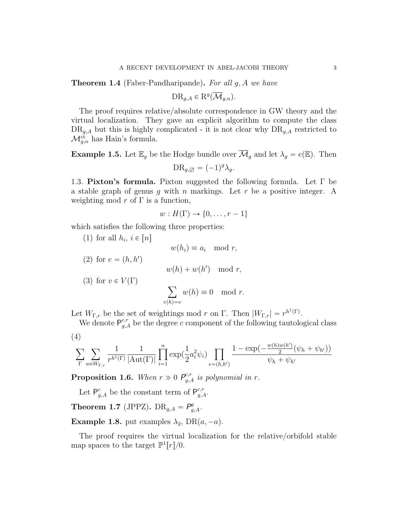**Theorem 1.4** (Faber-Pandharipande). For all  $g, A$  we have

$$
\text{DR}_{g,A} \in \text{R}^g(\overline{\mathcal{M}}_{g,n}).
$$

The proof requires relative/absolute correspondence in GW theory and the virtual localization. They gave an explicit algorithm to compute the class  $DR_{g,A}$  but this is highly complicated - it is not clear why  $DR_{g,A}$  restricted to  $\mathcal{M}_{g,n}^{\text{ct}}$  has Hain's formula.

**Example 1.5.** Let  $\mathbb{E}_g$  be the Hodge bundle over  $\overline{\mathcal{M}}_g$  and let  $\lambda_g = e(\mathbb{E})$ . Then  $\text{DR}_{g,\varnothing} = (-1)^g \lambda_g.$ 

1.3. Pixton's formula. Pixton suggested the following formula. Let Γ be a stable graph of genus g with n markings. Let r be a positive integer. A weighting mod r of  $\Gamma$  is a function,

$$
w: H(\Gamma) \to \{0, \ldots, r-1\}
$$

which satisfies the following three properties:

(1) for all  $h_i$ ,  $i \in [n]$  $w(h_i) \equiv a_i \mod r$ , (2) for  $e = (h, h')$  $w(h) + w(h') \mod r$ , (3) for  $v \in V(\Gamma)$  $v(h)=v$  $w(h) \equiv 0 \mod r.$ 

Let  $W_{\Gamma,r}$  be the set of weightings mod r on  $\Gamma$ . Then  $|W_{\Gamma,r}| = r^{h^1(\Gamma)}$ .

We denote  $P_{g,A}^{c,r}$  be the degree c component of the following tautological class  $(1)$ 

$$
^{(4)}
$$

$$
\sum_{\Gamma} \sum_{w \in W_{\Gamma,r}} \frac{1}{r^{h^1(\Gamma)}} \frac{1}{|\mathrm{Aut}(\Gamma)|} \prod_{i=1}^n \exp(\frac{1}{2}a_i^2 \psi_i) \prod_{e=(h,h')} \frac{1 - \exp(-\frac{w(h)w(h')}{2}(\psi_h + \psi_{h'}))}{\psi_h + \psi_{h'}}
$$

**Proposition 1.6.** When  $r \gg 0$   $P_{g,A}^{c,r}$  is polynomial in  $r$ .

Let  $P_{g,A}^c$  be the constant term of  $P_{g,A}^{c,r}$ .

**Theorem 1.7** (JPPZ).  $DR_{g,A} = P_{g,A}^g$ .

**Example 1.8.** put examples  $\lambda_2$ , DR $(a, -a)$ .

The proof requires the virtual localization for the relative/orbifold stable map spaces to the target  $\mathbb{P}^1[r]/0$ .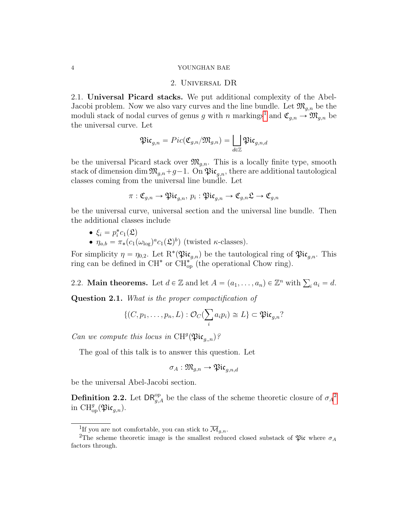#### 4 YOUNGHAN BAE

## 2. Universal DR

2.1. Universal Picard stacks. We put additional complexity of the Abel-Jacobi problem. Now we also vary curves and the line bundle. Let  $\mathfrak{M}_{q,n}$  be the moduli stack of nodal curves of genus g with n markings<sup>[1](#page-3-0)</sup> and  $\mathfrak{C}_{g,n} \to \mathfrak{M}_{g,n}$  be the universal curve. Let

$$
\mathfrak{Pic}_{g,n} = Pic(\mathfrak{C}_{g,n}/\mathfrak{M}_{g,n}) = \bigsqcup_{d \in \mathbb{Z}} \mathfrak{Pic}_{g,n,d}
$$

be the universal Picard stack over  $\mathfrak{M}_{q,n}$ . This is a locally finite type, smooth stack of dimension dim  $\mathfrak{M}_{q,n}+g-1$ . On  $\mathfrak{Pic}_{q,n}$ , there are additional tautological classes coming from the universal line bundle. Let

$$
\pi: \mathfrak{C}_{g,n} \to \mathfrak{Pic}_{g,n}, \ p_i: \mathfrak{Pic}_{g,n} \to \mathfrak{C}_{g,n} \mathfrak{L} \to \mathfrak{C}_{g,n}
$$

be the universal curve, universal section and the universal line bundle. Then the additional classes include

- $\xi_i = p_i^* c_1(\mathfrak{L})$
- $\eta_{a,b} = \pi_*(c_1(\omega_{\text{log}})^a c_1(\mathfrak{L})^b)$  (twisted *κ*-classes).

For simplicity  $\eta = \eta_{0,2}$ . Let  $\mathrm{R}^*(\mathfrak{Pic}_{g,n})$  be the tautological ring of  $\mathfrak{Pic}_{g,n}$ . This ring can be defined in  $\text{CH}^*$  or  $\text{CH}^*_{\text{op}}$  (the operational Chow ring).

2.2. **Main theorems.** Let  $d \in \mathbb{Z}$  and let  $A = (a_1, \ldots, a_n) \in \mathbb{Z}^n$  with  $\sum_i a_i = d$ .

Question 2.1. What is the proper compactification of  $\ddot{\phantom{0}}$ 

$$
\{(C, p_1, \ldots, p_n, L) : \mathcal{O}_C(\sum_i a_i p_i) \cong L\} \subset \mathfrak{Pic}_{g,n}
$$
?

Can we compute this locus in  $CH^g(\mathfrak{Pic}_{g,n})$ ?

The goal of this talk is to answer this question. Let

$$
\sigma_A: \mathfrak{M}_{g,n} \to \mathfrak{Pic}_{g,n,d}
$$

be the universal Abel-Jacobi section.

**Definition [2](#page-3-1).2.** Let  $\mathsf{DR}_{g,A}^{\rm op}$  be the class of the scheme theoretic closure of  $\sigma_A^2$ in  $\mathrm{CH}^g_{\mathrm{op}}(\mathfrak{Pic}_{g,n}).$ 

<span id="page-3-1"></span><span id="page-3-0"></span><sup>&</sup>lt;sup>1</sup>If you are not comfortable, you can stick to  $\overline{\mathcal{M}}_{g,n}$ .

<sup>&</sup>lt;sup>2</sup>The scheme theoretic image is the smallest reduced closed substack of  $\mathfrak{P}$ ic where  $\sigma_A$ factors through.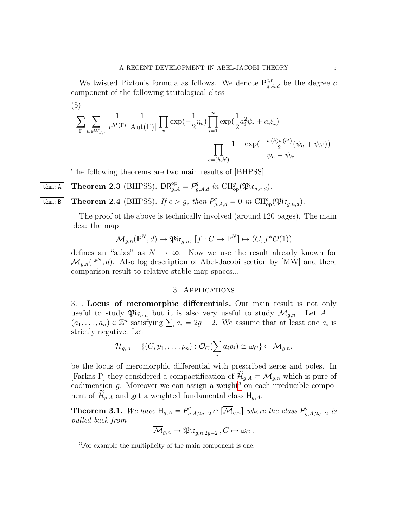We twisted Pixton's formula as follows. We denote  $P_{g,A,d}^{c,r}$  be the degree c component of the following tautological class

(5)  
\n
$$
\sum_{\Gamma} \sum_{w \in W_{\Gamma,r}} \frac{1}{r^{h^1(\Gamma)}} \frac{1}{|\text{Aut}(\Gamma)|} \prod_v \exp(-\frac{1}{2}\eta_v) \prod_{i=1}^n \exp(\frac{1}{2}a_i^2\psi_i + a_i\xi_i)
$$
\n
$$
\prod_{e=(h,h')} \frac{1 - \exp(-\frac{w(h)w(h')}{2}(\psi_h + \psi_{h'}))}{\psi_h + \psi_{h'}}
$$

The following theorems are two main results of [BHPSS].

**thm:A** Theorem 2.3 (BHPSS). 
$$
DR_{g,A}^{op} = P_{g,A,d}^g
$$
 in  $CH_{op}^g(\mathfrak{Pic}_{g,n,d})$ .

$$
\boxed{\mathtt{thm:B}} \quad \textbf{Theorem 2.4 (BHPSS).} \quad \textit{If } c > g, \textit{ then } \mathcal{P}_{g,A,d}^c = 0 \textit{ in } \mathrm{CH}^c_{\mathrm{op}}(\mathfrak{Pic}_{g,n,d}).
$$

<span id="page-4-1"></span>The proof of the above is technically involved (around 120 pages). The main idea: the map

$$
\overline{\mathcal{M}}_{g,n}(\mathbb{P}^N,d) \to \mathfrak{Pic}_{g,n},\ [f:C \to \mathbb{P}^N] \mapsto (C, f^*\mathcal{O}(1))
$$

defines an "atlas" as  $N \to \infty$ . Now we use the result already known for  $\overline{\mathcal{M}}_{g,n}(\mathbb{P}^N,d)$ . Also log description of Abel-Jacobi section by [MW] and there comparison result to relative stable map spaces...

## 3. Applications

3.1. Locus of meromorphic differentials. Our main result is not only useful to study  $\mathfrak{Pic}_{g,n}$  but it is also very useful to study  $\overline{\mathcal{M}}_{g,n}$ . Let  $A =$ useful to study  $\mathfrak{Pic}_{g,n}$  but it is also very useful to study  $\mathcal{M}_{g,n}$ . Let  $A = (a_1, \ldots, a_n) \in \mathbb{Z}^n$  satisfying  $\sum_i a_i = 2g - 2$ . We assume that at least one  $a_i$  is strictly negative. Let

$$
\mathcal{H}_{g,A} = \{ (C, p_1, \ldots, p_n) : \mathcal{O}_C(\sum_i a_i p_i) \cong \omega_C \} \subset \mathcal{M}_{g,n}.
$$

be the locus of meromorphic differential with prescribed zeros and poles. In [Farkas-P] they considered a compactification of  $\mathcal{H}_{q,A} \subset \overline{\mathcal{M}}_{q,n}$  which is pure of codimension  $g$ . Moreover we can assign a weight<sup>[3](#page-4-0)</sup> on each irreducible component of  $\mathcal{H}_{q,A}$  and get a weighted fundamental class  $H_{g,A}$ .

**Theorem 3.1.** We have  $H_{g,A} = P_{g,A,2g-2}^g \cap [\overline{\mathcal{M}}_{g,n}]$  where the class  $P_g^g$  $_{g,A,2g-2}^g$  is pulled back from

$$
\overline{\mathcal{M}}_{g,n} \to \mathfrak{Pic}_{g,n,2g-2}, C \mapsto \omega_C.
$$

<span id="page-4-0"></span><sup>3</sup>For example the multiplicity of the main component is one.